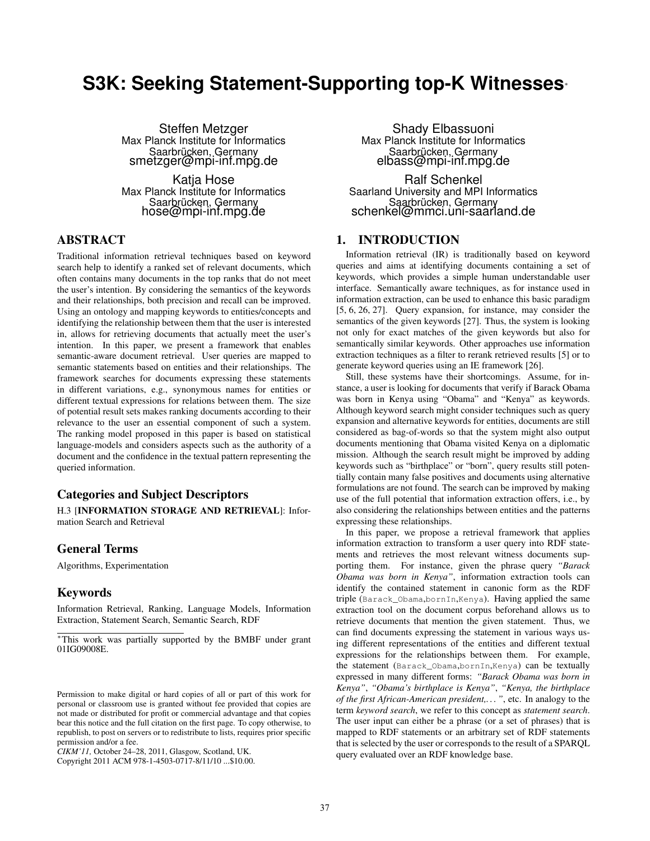# **S3K: Seeking Statement-Supporting top-K Witnesses**<sup>∗</sup>

Steffen Metzger Max Planck Institute for Informatics Saarbrücken, Germany smetzger@mpi-inf.mpg.de

Katja Hose Max Planck Institute for Informatics Saarbrücken, Germany hose@mpi-inf.mpg.de

## ABSTRACT

Traditional information retrieval techniques based on keyword search help to identify a ranked set of relevant documents, which often contains many documents in the top ranks that do not meet the user's intention. By considering the semantics of the keywords and their relationships, both precision and recall can be improved. Using an ontology and mapping keywords to entities/concepts and identifying the relationship between them that the user is interested in, allows for retrieving documents that actually meet the user's intention. In this paper, we present a framework that enables semantic-aware document retrieval. User queries are mapped to semantic statements based on entities and their relationships. The framework searches for documents expressing these statements in different variations, e.g., synonymous names for entities or different textual expressions for relations between them. The size of potential result sets makes ranking documents according to their relevance to the user an essential component of such a system. The ranking model proposed in this paper is based on statistical language-models and considers aspects such as the authority of a document and the confidence in the textual pattern representing the queried information.

#### Categories and Subject Descriptors

H.3 [INFORMATION STORAGE AND RETRIEVAL]: Information Search and Retrieval

## General Terms

Algorithms, Experimentation

## Keywords

Information Retrieval, Ranking, Language Models, Information Extraction, Statement Search, Semantic Search, RDF

Copyright 2011 ACM 978-1-4503-0717-8/11/10 ...\$10.00.

Shady Elbassuoni Max Planck Institute for Informatics Saarbrücken, Germany elbass@mpi-inf.mpg.de

Ralf Schenkel Saarland University and MPI Informatics Saarbrücken, Germany schenkel@mmci.uni-saarland.de

## 1. INTRODUCTION

Information retrieval (IR) is traditionally based on keyword queries and aims at identifying documents containing a set of keywords, which provides a simple human understandable user interface. Semantically aware techniques, as for instance used in information extraction, can be used to enhance this basic paradigm [5, 6, 26, 27]. Query expansion, for instance, may consider the semantics of the given keywords [27]. Thus, the system is looking not only for exact matches of the given keywords but also for semantically similar keywords. Other approaches use information extraction techniques as a filter to rerank retrieved results [5] or to generate keyword queries using an IE framework [26].

Still, these systems have their shortcomings. Assume, for instance, a user is looking for documents that verify if Barack Obama was born in Kenya using "Obama" and "Kenya" as keywords. Although keyword search might consider techniques such as query expansion and alternative keywords for entities, documents are still considered as bag-of-words so that the system might also output documents mentioning that Obama visited Kenya on a diplomatic mission. Although the search result might be improved by adding keywords such as "birthplace" or "born", query results still potentially contain many false positives and documents using alternative formulations are not found. The search can be improved by making use of the full potential that information extraction offers, i.e., by also considering the relationships between entities and the patterns expressing these relationships.

In this paper, we propose a retrieval framework that applies information extraction to transform a user query into RDF statements and retrieves the most relevant witness documents supporting them. For instance, given the phrase query *"Barack Obama was born in Kenya"*, information extraction tools can identify the contained statement in canonic form as the RDF triple (Barack\_Obama,bornIn,Kenya). Having applied the same extraction tool on the document corpus beforehand allows us to retrieve documents that mention the given statement. Thus, we can find documents expressing the statement in various ways using different representations of the entities and different textual expressions for the relationships between them. For example, the statement (Barack\_Obama,bornIn,Kenya) can be textually expressed in many different forms: *"Barack Obama was born in Kenya"*, *"Obama's birthplace is Kenya"*, *"Kenya, the birthplace of the first African-American president,. . . "*, etc. In analogy to the term *keyword search*, we refer to this concept as *statement search*. The user input can either be a phrase (or a set of phrases) that is mapped to RDF statements or an arbitrary set of RDF statements that is selected by the user or corresponds to the result of a SPARQL query evaluated over an RDF knowledge base.

<sup>∗</sup>This work was partially supported by the BMBF under grant 01IG09008E.

Permission to make digital or hard copies of all or part of this work for personal or classroom use is granted without fee provided that copies are not made or distributed for profit or commercial advantage and that copies bear this notice and the full citation on the first page. To copy otherwise, to republish, to post on servers or to redistribute to lists, requires prior specific permission and/or a fee.

*CIKM'11,* October 24–28, 2011, Glasgow, Scotland, UK.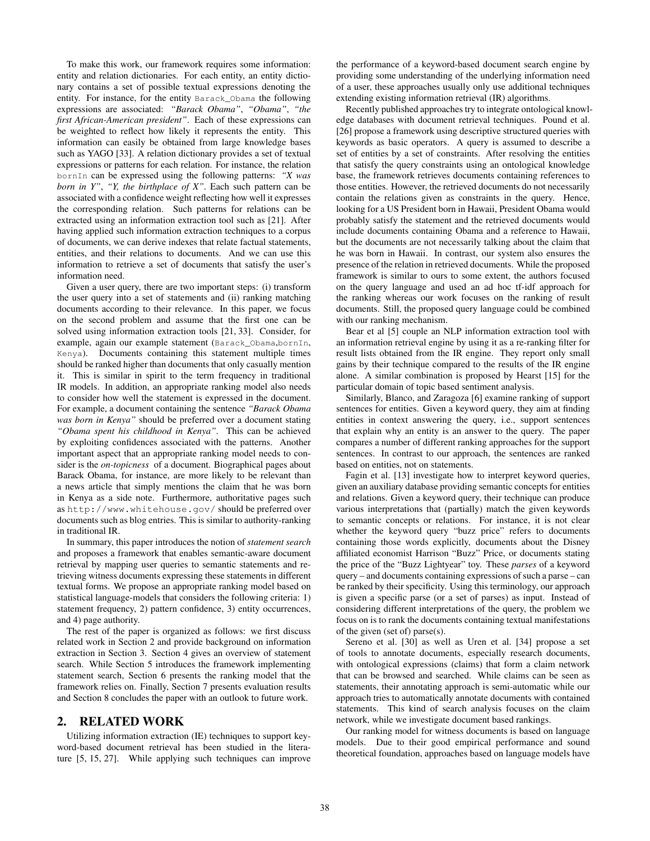To make this work, our framework requires some information: entity and relation dictionaries. For each entity, an entity dictionary contains a set of possible textual expressions denoting the entity. For instance, for the entity Barack\_Obama the following expressions are associated: *"Barack Obama"*, *"Obama"*, *"the first African-American president"*. Each of these expressions can be weighted to reflect how likely it represents the entity. This information can easily be obtained from large knowledge bases such as YAGO [33]. A relation dictionary provides a set of textual expressions or patterns for each relation. For instance, the relation bornIn can be expressed using the following patterns: *"X was born in Y"*, *"Y, the birthplace of X"*. Each such pattern can be associated with a confidence weight reflecting how well it expresses the corresponding relation. Such patterns for relations can be extracted using an information extraction tool such as [21]. After having applied such information extraction techniques to a corpus of documents, we can derive indexes that relate factual statements, entities, and their relations to documents. And we can use this information to retrieve a set of documents that satisfy the user's information need.

Given a user query, there are two important steps: (i) transform the user query into a set of statements and (ii) ranking matching documents according to their relevance. In this paper, we focus on the second problem and assume that the first one can be solved using information extraction tools [21, 33]. Consider, for example, again our example statement (Barack\_Obama,bornIn, Kenya). Documents containing this statement multiple times should be ranked higher than documents that only casually mention it. This is similar in spirit to the term frequency in traditional IR models. In addition, an appropriate ranking model also needs to consider how well the statement is expressed in the document. For example, a document containing the sentence *"Barack Obama was born in Kenya"* should be preferred over a document stating *"Obama spent his childhood in Kenya"*. This can be achieved by exploiting confidences associated with the patterns. Another important aspect that an appropriate ranking model needs to consider is the *on-topicness* of a document. Biographical pages about Barack Obama, for instance, are more likely to be relevant than a news article that simply mentions the claim that he was born in Kenya as a side note. Furthermore, authoritative pages such as http://www.whitehouse.gov/ should be preferred over documents such as blog entries. This is similar to authority-ranking in traditional IR.

In summary, this paper introduces the notion of *statement search* and proposes a framework that enables semantic-aware document retrieval by mapping user queries to semantic statements and retrieving witness documents expressing these statements in different textual forms. We propose an appropriate ranking model based on statistical language-models that considers the following criteria: 1) statement frequency, 2) pattern confidence, 3) entity occurrences, and 4) page authority.

The rest of the paper is organized as follows: we first discuss related work in Section 2 and provide background on information extraction in Section 3. Section 4 gives an overview of statement search. While Section 5 introduces the framework implementing statement search, Section 6 presents the ranking model that the framework relies on. Finally, Section 7 presents evaluation results and Section 8 concludes the paper with an outlook to future work.

#### 2. RELATED WORK

Utilizing information extraction (IE) techniques to support keyword-based document retrieval has been studied in the literature [5, 15, 27]. While applying such techniques can improve the performance of a keyword-based document search engine by providing some understanding of the underlying information need of a user, these approaches usually only use additional techniques extending existing information retrieval (IR) algorithms.

Recently published approaches try to integrate ontological knowledge databases with document retrieval techniques. Pound et al. [26] propose a framework using descriptive structured queries with keywords as basic operators. A query is assumed to describe a set of entities by a set of constraints. After resolving the entities that satisfy the query constraints using an ontological knowledge base, the framework retrieves documents containing references to those entities. However, the retrieved documents do not necessarily contain the relations given as constraints in the query. Hence, looking for a US President born in Hawaii, President Obama would probably satisfy the statement and the retrieved documents would include documents containing Obama and a reference to Hawaii, but the documents are not necessarily talking about the claim that he was born in Hawaii. In contrast, our system also ensures the presence of the relation in retrieved documents. While the proposed framework is similar to ours to some extent, the authors focused on the query language and used an ad hoc tf-idf approach for the ranking whereas our work focuses on the ranking of result documents. Still, the proposed query language could be combined with our ranking mechanism.

Bear et al [5] couple an NLP information extraction tool with an information retrieval engine by using it as a re-ranking filter for result lists obtained from the IR engine. They report only small gains by their technique compared to the results of the IR engine alone. A similar combination is proposed by Hearst [15] for the particular domain of topic based sentiment analysis.

Similarly, Blanco, and Zaragoza [6] examine ranking of support sentences for entities. Given a keyword query, they aim at finding entities in context answering the query, i.e., support sentences that explain why an entity is an answer to the query. The paper compares a number of different ranking approaches for the support sentences. In contrast to our approach, the sentences are ranked based on entities, not on statements.

Fagin et al. [13] investigate how to interpret keyword queries, given an auxiliary database providing semantic concepts for entities and relations. Given a keyword query, their technique can produce various interpretations that (partially) match the given keywords to semantic concepts or relations. For instance, it is not clear whether the keyword query "buzz price" refers to documents containing those words explicitly, documents about the Disney affiliated economist Harrison "Buzz" Price, or documents stating the price of the "Buzz Lightyear" toy. These *parses* of a keyword query – and documents containing expressions of such a parse – can be ranked by their specificity. Using this terminology, our approach is given a specific parse (or a set of parses) as input. Instead of considering different interpretations of the query, the problem we focus on is to rank the documents containing textual manifestations of the given (set of) parse(s).

Sereno et al. [30] as well as Uren et al. [34] propose a set of tools to annotate documents, especially research documents, with ontological expressions (claims) that form a claim network that can be browsed and searched. While claims can be seen as statements, their annotating approach is semi-automatic while our approach tries to automatically annotate documents with contained statements. This kind of search analysis focuses on the claim network, while we investigate document based rankings.

Our ranking model for witness documents is based on language models. Due to their good empirical performance and sound theoretical foundation, approaches based on language models have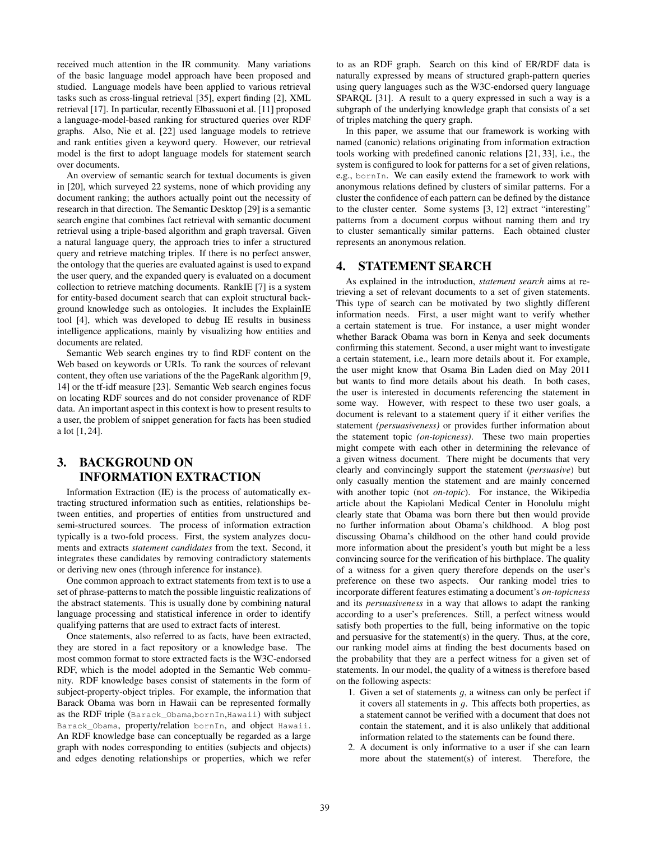received much attention in the IR community. Many variations of the basic language model approach have been proposed and studied. Language models have been applied to various retrieval tasks such as cross-lingual retrieval [35], expert finding [2], XML retrieval [17]. In particular, recently Elbassuoni et al. [11] proposed a language-model-based ranking for structured queries over RDF graphs. Also, Nie et al. [22] used language models to retrieve and rank entities given a keyword query. However, our retrieval model is the first to adopt language models for statement search over documents.

An overview of semantic search for textual documents is given in [20], which surveyed 22 systems, none of which providing any document ranking; the authors actually point out the necessity of research in that direction. The Semantic Desktop [29] is a semantic search engine that combines fact retrieval with semantic document retrieval using a triple-based algorithm and graph traversal. Given a natural language query, the approach tries to infer a structured query and retrieve matching triples. If there is no perfect answer, the ontology that the queries are evaluated against is used to expand the user query, and the expanded query is evaluated on a document collection to retrieve matching documents. RankIE [7] is a system for entity-based document search that can exploit structural background knowledge such as ontologies. It includes the ExplainIE tool [4], which was developed to debug IE results in business intelligence applications, mainly by visualizing how entities and documents are related.

Semantic Web search engines try to find RDF content on the Web based on keywords or URIs. To rank the sources of relevant content, they often use variations of the the PageRank algorithm [9, 14] or the tf-idf measure [23]. Semantic Web search engines focus on locating RDF sources and do not consider provenance of RDF data. An important aspect in this context is how to present results to a user, the problem of snippet generation for facts has been studied a lot [1, 24].

# 3. BACKGROUND ON INFORMATION EXTRACTION

Information Extraction (IE) is the process of automatically extracting structured information such as entities, relationships between entities, and properties of entities from unstructured and semi-structured sources. The process of information extraction typically is a two-fold process. First, the system analyzes documents and extracts *statement candidates* from the text. Second, it integrates these candidates by removing contradictory statements or deriving new ones (through inference for instance).

One common approach to extract statements from text is to use a set of phrase-patterns to match the possible linguistic realizations of the abstract statements. This is usually done by combining natural language processing and statistical inference in order to identify qualifying patterns that are used to extract facts of interest.

Once statements, also referred to as facts, have been extracted, they are stored in a fact repository or a knowledge base. The most common format to store extracted facts is the W3C-endorsed RDF, which is the model adopted in the Semantic Web community. RDF knowledge bases consist of statements in the form of subject-property-object triples. For example, the information that Barack Obama was born in Hawaii can be represented formally as the RDF triple (Barack\_Obama,bornIn,Hawaii) with subject Barack\_Obama, property/relation bornIn, and object Hawaii. An RDF knowledge base can conceptually be regarded as a large graph with nodes corresponding to entities (subjects and objects) and edges denoting relationships or properties, which we refer to as an RDF graph. Search on this kind of ER/RDF data is naturally expressed by means of structured graph-pattern queries using query languages such as the W3C-endorsed query language SPARQL [31]. A result to a query expressed in such a way is a subgraph of the underlying knowledge graph that consists of a set of triples matching the query graph.

In this paper, we assume that our framework is working with named (canonic) relations originating from information extraction tools working with predefined canonic relations [21, 33], i.e., the system is configured to look for patterns for a set of given relations, e.g., bornIn. We can easily extend the framework to work with anonymous relations defined by clusters of similar patterns. For a cluster the confidence of each pattern can be defined by the distance to the cluster center. Some systems [3, 12] extract "interesting" patterns from a document corpus without naming them and try to cluster semantically similar patterns. Each obtained cluster represents an anonymous relation.

### 4. STATEMENT SEARCH

As explained in the introduction, *statement search* aims at retrieving a set of relevant documents to a set of given statements. This type of search can be motivated by two slightly different information needs. First, a user might want to verify whether a certain statement is true. For instance, a user might wonder whether Barack Obama was born in Kenya and seek documents confirming this statement. Second, a user might want to investigate a certain statement, i.e., learn more details about it. For example, the user might know that Osama Bin Laden died on May 2011 but wants to find more details about his death. In both cases, the user is interested in documents referencing the statement in some way. However, with respect to these two user goals, a document is relevant to a statement query if it either verifies the statement *(persuasiveness)* or provides further information about the statement topic *(on-topicness)*. These two main properties might compete with each other in determining the relevance of a given witness document. There might be documents that very clearly and convincingly support the statement (*persuasive*) but only casually mention the statement and are mainly concerned with another topic (not *on-topic*). For instance, the Wikipedia article about the Kapiolani Medical Center in Honolulu might clearly state that Obama was born there but then would provide no further information about Obama's childhood. A blog post discussing Obama's childhood on the other hand could provide more information about the president's youth but might be a less convincing source for the verification of his birthplace. The quality of a witness for a given query therefore depends on the user's preference on these two aspects. Our ranking model tries to incorporate different features estimating a document's *on-topicness* and its *persuasiveness* in a way that allows to adapt the ranking according to a user's preferences. Still, a perfect witness would satisfy both properties to the full, being informative on the topic and persuasive for the statement(s) in the query. Thus, at the core, our ranking model aims at finding the best documents based on the probability that they are a perfect witness for a given set of statements. In our model, the quality of a witness is therefore based on the following aspects:

- 1. Given a set of statements  $q$ , a witness can only be perfect if it covers all statements in  $q$ . This affects both properties, as a statement cannot be verified with a document that does not contain the statement, and it is also unlikely that additional information related to the statements can be found there.
- 2. A document is only informative to a user if she can learn more about the statement(s) of interest. Therefore, the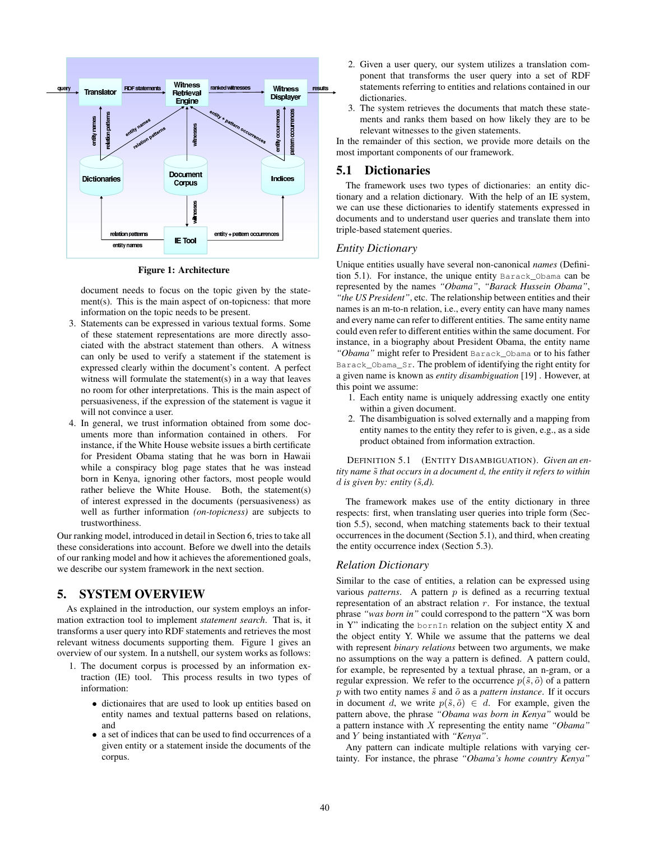

Figure 1: Architecture

document needs to focus on the topic given by the statement(s). This is the main aspect of on-topicness: that more information on the topic needs to be present.

- 3. Statements can be expressed in various textual forms. Some of these statement representations are more directly associated with the abstract statement than others. A witness can only be used to verify a statement if the statement is expressed clearly within the document's content. A perfect witness will formulate the statement(s) in a way that leaves no room for other interpretations. This is the main aspect of persuasiveness, if the expression of the statement is vague it will not convince a user.
- 4. In general, we trust information obtained from some documents more than information contained in others. For instance, if the White House website issues a birth certificate for President Obama stating that he was born in Hawaii while a conspiracy blog page states that he was instead born in Kenya, ignoring other factors, most people would rather believe the White House. Both, the statement(s) of interest expressed in the documents (persuasiveness) as well as further information *(on-topicness)* are subjects to trustworthiness.

Our ranking model, introduced in detail in Section 6, tries to take all these considerations into account. Before we dwell into the details of our ranking model and how it achieves the aforementioned goals, we describe our system framework in the next section.

## 5. SYSTEM OVERVIEW

As explained in the introduction, our system employs an information extraction tool to implement *statement search*. That is, it transforms a user query into RDF statements and retrieves the most relevant witness documents supporting them. Figure 1 gives an overview of our system. In a nutshell, our system works as follows:

- 1. The document corpus is processed by an information extraction (IE) tool. This process results in two types of information:
	- dictionaires that are used to look up entities based on entity names and textual patterns based on relations, and
	- a set of indices that can be used to find occurrences of a given entity or a statement inside the documents of the corpus.
- 2. Given a user query, our system utilizes a translation component that transforms the user query into a set of RDF statements referring to entities and relations contained in our dictionaries.
- 3. The system retrieves the documents that match these statements and ranks them based on how likely they are to be relevant witnesses to the given statements.

In the remainder of this section, we provide more details on the most important components of our framework.

### 5.1 Dictionaries

The framework uses two types of dictionaries: an entity dictionary and a relation dictionary. With the help of an IE system, we can use these dictionaries to identify statements expressed in documents and to understand user queries and translate them into triple-based statement queries.

#### *Entity Dictionary*

Unique entities usually have several non-canonical *names* (Definition 5.1). For instance, the unique entity Barack\_Obama can be represented by the names *"Obama"*, *"Barack Hussein Obama"*, *"the US President"*, etc. The relationship between entities and their names is an m-to-n relation, i.e., every entity can have many names and every name can refer to different entities. The same entity name could even refer to different entities within the same document. For instance, in a biography about President Obama, the entity name *"Obama"* might refer to President Barack\_Obama or to his father Barack Obama Sr. The problem of identifying the right entity for a given name is known as *entity disambiguation* [19] . However, at this point we assume:

- 1. Each entity name is uniquely addressing exactly one entity within a given document.
- 2. The disambiguation is solved externally and a mapping from entity names to the entity they refer to is given, e.g., as a side product obtained from information extraction.

DEFINITION 5.1 (ENTITY DISAMBIGUATION). *Given an entity name*  $\tilde{s}$  *that occurs in a document d, the entity it refers to within d* is given by: entity  $(\tilde{s}, d)$ .

The framework makes use of the entity dictionary in three respects: first, when translating user queries into triple form (Section 5.5), second, when matching statements back to their textual occurrences in the document (Section 5.1), and third, when creating the entity occurrence index (Section 5.3).

#### *Relation Dictionary*

Similar to the case of entities, a relation can be expressed using various *patterns*. A pattern  $p$  is defined as a recurring textual representation of an abstract relation  $r$ . For instance, the textual phrase *"was born in"* could correspond to the pattern "X was born in Y" indicating the bornIn relation on the subject entity  $X$  and the object entity Y. While we assume that the patterns we deal with represent *binary relations* between two arguments, we make no assumptions on the way a pattern is defined. A pattern could, for example, be represented by a textual phrase, an n-gram, or a regular expression. We refer to the occurrence  $p(\tilde{s}, \tilde{o})$  of a pattern  $p$  with two entity names  $\tilde{s}$  and  $\tilde{o}$  as a *pattern instance*. If it occurs in document d, we write  $p(\tilde{s}, \tilde{o}) \in d$ . For example, given the pattern above, the phrase *"Obama was born in Kenya"* would be a pattern instance with X representing the entity name *"Obama"* and Y being instantiated with *"Kenya"*.

Any pattern can indicate multiple relations with varying certainty. For instance, the phrase *"Obama's home country Kenya"*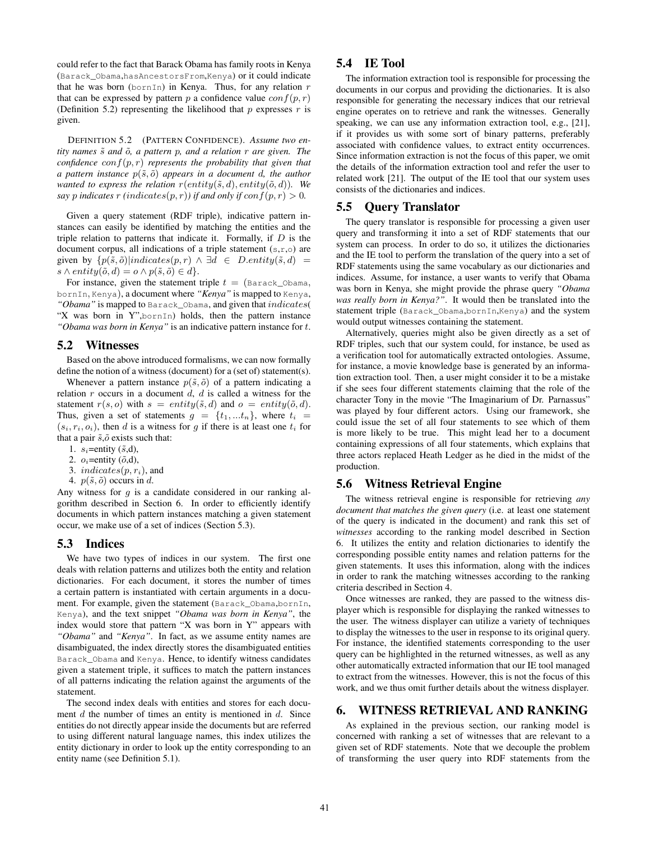could refer to the fact that Barack Obama has family roots in Kenya (Barack\_Obama,hasAncestorsFrom,Kenya) or it could indicate that he was born (bornIn) in Kenya. Thus, for any relation  $r$ that can be expressed by pattern p a confidence value  $conf(p, r)$ (Definition 5.2) representing the likelihood that  $p$  expresses  $r$  is given.

DEFINITION 5.2 (PATTERN CONFIDENCE). *Assume two entity names*  $\tilde{s}$  *and*  $\tilde{o}$ *, a pattern* p*, and a relation* r *are given. The confidence*  $\text{conf}(p, r)$  *represents the probability that given that a pattern instance*  $p(\tilde{s}, \tilde{o})$  *appears in a document d, the author wanted to express the relation*  $r(entity(\tilde{s}, d), entity(\tilde{o}, d))$ *. We say* p *indicates*  $r$  *(indicates(p, r)) if and only if*  $conf(p, r) > 0$ *.* 

Given a query statement (RDF triple), indicative pattern instances can easily be identified by matching the entities and the triple relation to patterns that indicate it. Formally, if  $D$  is the document corpus, all indications of a triple statement  $(s,r,o)$  are given by  $\{p(\tilde{s}, \tilde{o})| indicates(p, r) \wedge \exists d \in D. entity(\tilde{s}, d) =$  $s \wedge entity(\tilde{o}, d) = o \wedge p(\tilde{s}, \tilde{o}) \in d$ .

For instance, given the statement triple  $t =$  (Barack\_Obama, bornIn, Kenya), a document where *"Kenya"* is mapped to Kenya, *"Obama"* is mapped to Barack\_Obama, and given that indicates( "X was born in Y", bornIn) holds, then the pattern instance *"Obama was born in Kenya"* is an indicative pattern instance for t.

#### 5.2 Witnesses

Based on the above introduced formalisms, we can now formally define the notion of a witness (document) for a (set of) statement(s).

Whenever a pattern instance  $p(\tilde{s}, \tilde{o})$  of a pattern indicating a relation  $r$  occurs in a document  $d, d$  is called a witness for the statement  $r(s, o)$  with  $s = entity(\tilde{s}, d)$  and  $o = entity(\tilde{o}, d)$ . Thus, given a set of statements  $g = \{t_1, ... t_n\}$ , where  $t_i =$  $(s_i, r_i, o_i)$ , then d is a witness for g if there is at least one  $t_i$  for that a pair  $\tilde{s}, \tilde{o}$  exists such that:

- 1.  $s_i$ =entity  $(\tilde{s}, d)$ ,
- 2.  $o_i$ =entity  $(\tilde{o}, d)$ ,
- 3. *indicates* $(p, r_i)$ , and
- 4.  $p(\tilde{s}, \tilde{o})$  occurs in d.

Any witness for  $q$  is a candidate considered in our ranking algorithm described in Section 6. In order to efficiently identify documents in which pattern instances matching a given statement occur, we make use of a set of indices (Section 5.3).

#### 5.3 Indices

We have two types of indices in our system. The first one deals with relation patterns and utilizes both the entity and relation dictionaries. For each document, it stores the number of times a certain pattern is instantiated with certain arguments in a document. For example, given the statement (Barack\_Obama,bornIn, Kenya), and the text snippet *"Obama was born in Kenya"*, the index would store that pattern "X was born in Y" appears with *"Obama"* and *"Kenya"*. In fact, as we assume entity names are disambiguated, the index directly stores the disambiguated entities Barack\_Obama and Kenya. Hence, to identify witness candidates given a statement triple, it suffices to match the pattern instances of all patterns indicating the relation against the arguments of the statement.

The second index deals with entities and stores for each document  $d$  the number of times an entity is mentioned in  $d$ . Since entities do not directly appear inside the documents but are referred to using different natural language names, this index utilizes the entity dictionary in order to look up the entity corresponding to an entity name (see Definition 5.1).

## 5.4 IE Tool

The information extraction tool is responsible for processing the documents in our corpus and providing the dictionaries. It is also responsible for generating the necessary indices that our retrieval engine operates on to retrieve and rank the witnesses. Generally speaking, we can use any information extraction tool, e.g., [21], if it provides us with some sort of binary patterns, preferably associated with confidence values, to extract entity occurrences. Since information extraction is not the focus of this paper, we omit the details of the information extraction tool and refer the user to related work [21]. The output of the IE tool that our system uses consists of the dictionaries and indices.

#### 5.5 Query Translator

The query translator is responsible for processing a given user query and transforming it into a set of RDF statements that our system can process. In order to do so, it utilizes the dictionaries and the IE tool to perform the translation of the query into a set of RDF statements using the same vocabulary as our dictionaries and indices. Assume, for instance, a user wants to verify that Obama was born in Kenya, she might provide the phrase query *"Obama was really born in Kenya?"*. It would then be translated into the statement triple (Barack\_Obama,bornIn,Kenya) and the system would output witnesses containing the statement.

Alternatively, queries might also be given directly as a set of RDF triples, such that our system could, for instance, be used as a verification tool for automatically extracted ontologies. Assume, for instance, a movie knowledge base is generated by an information extraction tool. Then, a user might consider it to be a mistake if she sees four different statements claiming that the role of the character Tony in the movie "The Imaginarium of Dr. Parnassus" was played by four different actors. Using our framework, she could issue the set of all four statements to see which of them is more likely to be true. This might lead her to a document containing expressions of all four statements, which explains that three actors replaced Heath Ledger as he died in the midst of the production.

#### 5.6 Witness Retrieval Engine

The witness retrieval engine is responsible for retrieving *any document that matches the given query* (i.e. at least one statement of the query is indicated in the document) and rank this set of *witnesses* according to the ranking model described in Section 6. It utilizes the entity and relation dictionaries to identify the corresponding possible entity names and relation patterns for the given statements. It uses this information, along with the indices in order to rank the matching witnesses according to the ranking criteria described in Section 4.

Once witnesses are ranked, they are passed to the witness displayer which is responsible for displaying the ranked witnesses to the user. The witness displayer can utilize a variety of techniques to display the witnesses to the user in response to its original query. For instance, the identified statements corresponding to the user query can be highlighted in the returned witnesses, as well as any other automatically extracted information that our IE tool managed to extract from the witnesses. However, this is not the focus of this work, and we thus omit further details about the witness displayer.

### 6. WITNESS RETRIEVAL AND RANKING

As explained in the previous section, our ranking model is concerned with ranking a set of witnesses that are relevant to a given set of RDF statements. Note that we decouple the problem of transforming the user query into RDF statements from the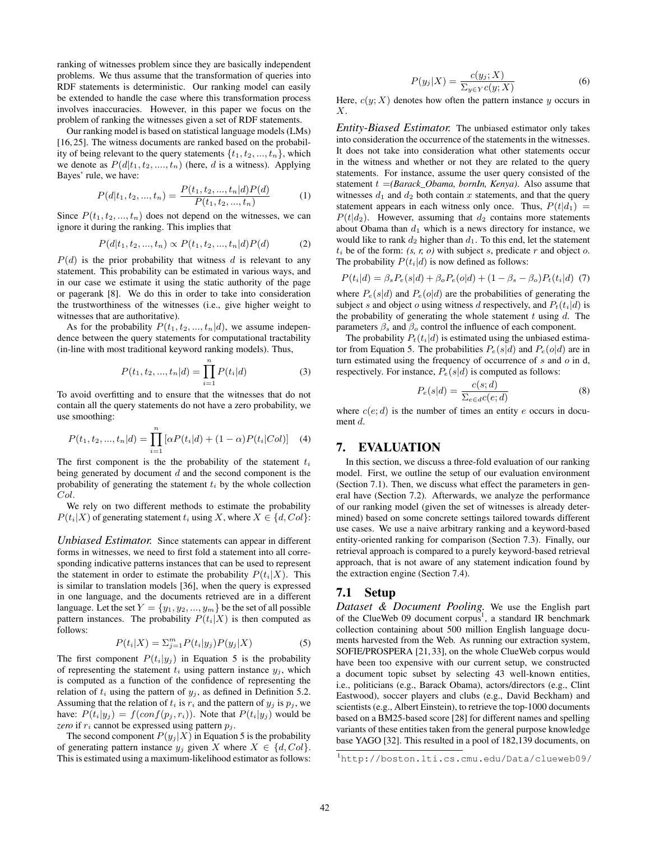ranking of witnesses problem since they are basically independent problems. We thus assume that the transformation of queries into RDF statements is deterministic. Our ranking model can easily be extended to handle the case where this transformation process involves inaccuracies. However, in this paper we focus on the problem of ranking the witnesses given a set of RDF statements.

Our ranking model is based on statistical language models (LMs) [16, 25]. The witness documents are ranked based on the probability of being relevant to the query statements  $\{t_1, t_2, ..., t_n\}$ , which we denote as  $P(d|t_1, t_2, \ldots, t_n)$  (here, d is a witness). Applying Bayes' rule, we have:

$$
P(d|t_1, t_2, ..., t_n) = \frac{P(t_1, t_2, ..., t_n|d)P(d)}{P(t_1, t_2, ..., t_n)}
$$
(1)

Since  $P(t_1, t_2, ..., t_n)$  does not depend on the witnesses, we can ignore it during the ranking. This implies that

$$
P(d|t_1, t_2, ..., t_n) \propto P(t_1, t_2, ..., t_n|d)P(d)
$$
 (2)

 $P(d)$  is the prior probability that witness d is relevant to any statement. This probability can be estimated in various ways, and in our case we estimate it using the static authority of the page or pagerank [8]. We do this in order to take into consideration the trustworthiness of the witnesses (i.e., give higher weight to witnesses that are authoritative).

As for the probability  $P(t_1, t_2, ..., t_n|d)$ , we assume independence between the query statements for computational tractability (in-line with most traditional keyword ranking models). Thus,

$$
P(t_1, t_2, ..., t_n|d) = \prod_{i=1}^{n} P(t_i|d)
$$
 (3)

To avoid overfitting and to ensure that the witnesses that do not contain all the query statements do not have a zero probability, we use smoothing:

$$
P(t_1, t_2, ..., t_n | d) = \prod_{i=1}^{n} [\alpha P(t_i | d) + (1 - \alpha) P(t_i | Col)] \quad (4)
$$

The first component is the the probability of the statement  $t_i$ being generated by document  $d$  and the second component is the probability of generating the statement  $t_i$  by the whole collection Col.

We rely on two different methods to estimate the probability  $P(t_i|X)$  of generating statement  $t_i$  using X, where  $X \in \{d, Col\}$ :

*Unbiased Estimator.* Since statements can appear in different forms in witnesses, we need to first fold a statement into all corresponding indicative patterns instances that can be used to represent the statement in order to estimate the probability  $P(t_i|X)$ . This is similar to translation models [36], when the query is expressed in one language, and the documents retrieved are in a different language. Let the set  $Y = \{y_1, y_2, ..., y_m\}$  be the set of all possible pattern instances. The probability  $P(t_i|X)$  is then computed as follows:

$$
P(t_i|X) = \sum_{j=1}^{m} P(t_i|y_j)P(y_j|X)
$$
\n<sup>(5)</sup>

The first component  $P(t_i|y_j)$  in Equation 5 is the probability of representing the statement  $t_i$  using pattern instance  $y_j$ , which is computed as a function of the confidence of representing the relation of  $t_i$  using the pattern of  $y_j$ , as defined in Definition 5.2. Assuming that the relation of  $t_i$  is  $r_i$  and the pattern of  $y_i$  is  $p_i$ , we have:  $P(t_i|y_j) = f(conf(p_j, r_i))$ . Note that  $P(t_i|y_j)$  would be *zero* if  $r_i$  cannot be expressed using pattern  $p_i$ .

The second component  $P(y_j | X)$  in Equation 5 is the probability of generating pattern instance  $y_j$  given X where  $X \in \{d, Col\}.$ This is estimated using a maximum-likelihood estimator as follows:

$$
P(y_j|X) = \frac{c(y_j;X)}{\Sigma_{y \in Y} c(y;X)}
$$
\n<sup>(6)</sup>

Here,  $c(y; X)$  denotes how often the pattern instance y occurs in X.

*Entity-Biased Estimator.* The unbiased estimator only takes into consideration the occurrence of the statements in the witnesses. It does not take into consideration what other statements occur in the witness and whether or not they are related to the query statements. For instance, assume the user query consisted of the statement  $t = (Barack\_Obama, bornIn, Kenya)$ . Also assume that witnesses  $d_1$  and  $d_2$  both contain x statements, and that the query statement appears in each witness only once. Thus,  $P(t|d_1)$  =  $P(t|d_2)$ . However, assuming that  $d_2$  contains more statements about Obama than  $d_1$  which is a news directory for instance, we would like to rank  $d_2$  higher than  $d_1$ . To this end, let the statement  $t_i$  be of the form:  $(s, r, o)$  with subject s, predicate r and object o. The probability  $P(t_i|d)$  is now defined as follows:

$$
P(t_i|d) = \beta_s P_e(s|d) + \beta_o P_e(o|d) + (1 - \beta_s - \beta_o) P_t(t_i|d)
$$
 (7)

where  $P_e(s|d)$  and  $P_e(o|d)$  are the probabilities of generating the subject s and object o using witness d respectively, and  $P_t(t_i|d)$  is the probability of generating the whole statement  $t$  using  $d$ . The parameters  $\beta_s$  and  $\beta_o$  control the influence of each component.

The probability  $P_t(t_i|d)$  is estimated using the unbiased estimator from Equation 5. The probabilities  $P_e(s|d)$  and  $P_e(o|d)$  are in turn estimated using the frequency of occurrence of  $s$  and  $o$  in d, respectively. For instance,  $P_e(s|d)$  is computed as follows:

$$
P_e(s|d) = \frac{c(s;d)}{\sum_{e \in d} c(e;d)}\tag{8}
$$

where  $c(e; d)$  is the number of times an entity e occurs in document d.

## 7. EVALUATION

In this section, we discuss a three-fold evaluation of our ranking model. First, we outline the setup of our evaluation environment (Section 7.1). Then, we discuss what effect the parameters in general have (Section 7.2). Afterwards, we analyze the performance of our ranking model (given the set of witnesses is already determined) based on some concrete settings tailored towards different use cases. We use a naive arbitrary ranking and a keyword-based entity-oriented ranking for comparison (Section 7.3). Finally, our retrieval approach is compared to a purely keyword-based retrieval approach, that is not aware of any statement indication found by the extraction engine (Section 7.4).

#### 7.1 Setup

*Dataset & Document Pooling.* We use the English part of the ClueWeb 09 document corpus<sup>1</sup>, a standard IR benchmark collection containing about 500 million English language documents harvested from the Web. As running our extraction system, SOFIE/PROSPERA [21, 33], on the whole ClueWeb corpus would have been too expensive with our current setup, we constructed a document topic subset by selecting 43 well-known entities, i.e., politicians (e.g., Barack Obama), actors/directors (e.g., Clint Eastwood), soccer players and clubs (e.g., David Beckham) and scientists (e.g., Albert Einstein), to retrieve the top-1000 documents based on a BM25-based score [28] for different names and spelling variants of these entities taken from the general purpose knowledge base YAGO [32]. This resulted in a pool of 182,139 documents, on

<sup>1</sup>http://boston.lti.cs.cmu.edu/Data/clueweb09/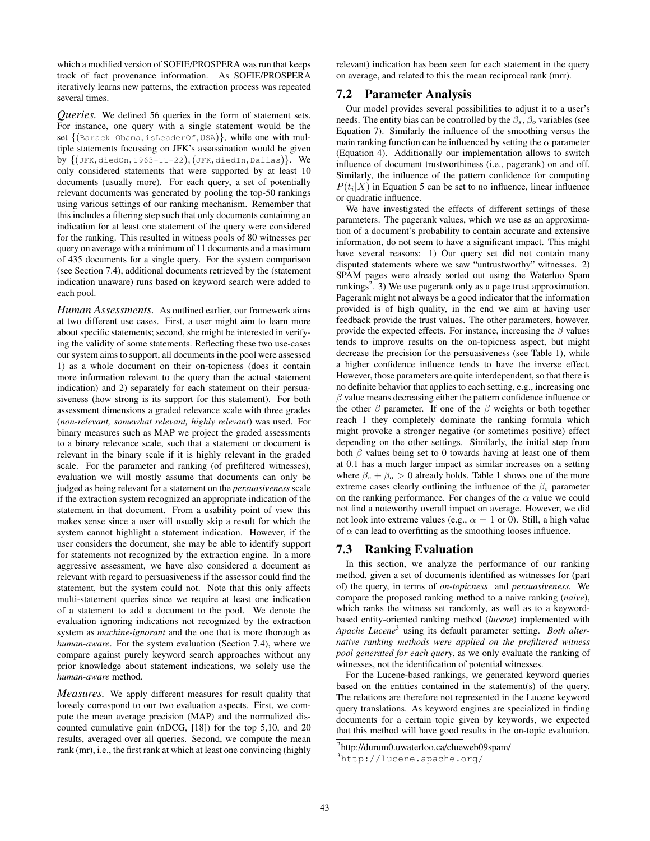which a modified version of SOFIE/PROSPERA was run that keeps track of fact provenance information. As SOFIE/PROSPERA iteratively learns new patterns, the extraction process was repeated several times.

*Queries.* We defined 56 queries in the form of statement sets. For instance, one query with a single statement would be the set {(Barack\_Obama, isLeaderOf, USA)}, while one with multiple statements focussing on JFK's assassination would be given by {(JFK, diedOn, 1963-11-22),(JFK, diedIn, Dallas)}. We only considered statements that were supported by at least 10 documents (usually more). For each query, a set of potentially relevant documents was generated by pooling the top-50 rankings using various settings of our ranking mechanism. Remember that this includes a filtering step such that only documents containing an indication for at least one statement of the query were considered for the ranking. This resulted in witness pools of 80 witnesses per query on average with a minimum of 11 documents and a maximum of 435 documents for a single query. For the system comparison (see Section 7.4), additional documents retrieved by the (statement indication unaware) runs based on keyword search were added to each pool.

*Human Assessments.* As outlined earlier, our framework aims at two different use cases. First, a user might aim to learn more about specific statements; second, she might be interested in verifying the validity of some statements. Reflecting these two use-cases our system aims to support, all documents in the pool were assessed 1) as a whole document on their on-topicness (does it contain more information relevant to the query than the actual statement indication) and 2) separately for each statement on their persuasiveness (how strong is its support for this statement). For both assessment dimensions a graded relevance scale with three grades (*non-relevant, somewhat relevant, highly relevant*) was used. For binary measures such as MAP we project the graded assessments to a binary relevance scale, such that a statement or document is relevant in the binary scale if it is highly relevant in the graded scale. For the parameter and ranking (of prefiltered witnesses), evaluation we will mostly assume that documents can only be judged as being relevant for a statement on the *persuasiveness* scale if the extraction system recognized an appropriate indication of the statement in that document. From a usability point of view this makes sense since a user will usually skip a result for which the system cannot highlight a statement indication. However, if the user considers the document, she may be able to identify support for statements not recognized by the extraction engine. In a more aggressive assessment, we have also considered a document as relevant with regard to persuasiveness if the assessor could find the statement, but the system could not. Note that this only affects multi-statement queries since we require at least one indication of a statement to add a document to the pool. We denote the evaluation ignoring indications not recognized by the extraction system as *machine-ignorant* and the one that is more thorough as *human-aware*. For the system evaluation (Section 7.4), where we compare against purely keyword search approaches without any prior knowledge about statement indications, we solely use the *human-aware* method.

*Measures.* We apply different measures for result quality that loosely correspond to our two evaluation aspects. First, we compute the mean average precision (MAP) and the normalized discounted cumulative gain (nDCG, [18]) for the top 5,10, and 20 results, averaged over all queries. Second, we compute the mean rank (mr), i.e., the first rank at which at least one convincing (highly relevant) indication has been seen for each statement in the query on average, and related to this the mean reciprocal rank (mrr).

## 7.2 Parameter Analysis

Our model provides several possibilities to adjust it to a user's needs. The entity bias can be controlled by the  $\beta_s$ ,  $\beta_o$  variables (see Equation 7). Similarly the influence of the smoothing versus the main ranking function can be influenced by setting the  $\alpha$  parameter (Equation 4). Additionally our implementation allows to switch influence of document trustworthiness (i.e., pagerank) on and off. Similarly, the influence of the pattern confidence for computing  $P(t_i|X)$  in Equation 5 can be set to no influence, linear influence or quadratic influence.

We have investigated the effects of different settings of these parameters. The pagerank values, which we use as an approximation of a document's probability to contain accurate and extensive information, do not seem to have a significant impact. This might have several reasons: 1) Our query set did not contain many disputed statements where we saw "untrustworthy" witnesses. 2) SPAM pages were already sorted out using the Waterloo Spam rankings<sup>2</sup>. 3) We use pagerank only as a page trust approximation. Pagerank might not always be a good indicator that the information provided is of high quality, in the end we aim at having user feedback provide the trust values. The other parameters, however, provide the expected effects. For instance, increasing the  $\beta$  values tends to improve results on the on-topicness aspect, but might decrease the precision for the persuasiveness (see Table 1), while a higher confidence influence tends to have the inverse effect. However, those parameters are quite interdependent, so that there is no definite behavior that applies to each setting, e.g., increasing one  $\beta$  value means decreasing either the pattern confidence influence or the other  $\beta$  parameter. If one of the  $\beta$  weights or both together reach 1 they completely dominate the ranking formula which might provoke a stronger negative (or sometimes positive) effect depending on the other settings. Similarly, the initial step from both  $\beta$  values being set to 0 towards having at least one of them at 0.1 has a much larger impact as similar increases on a setting where  $\beta_s + \beta_o > 0$  already holds. Table 1 shows one of the more extreme cases clearly outlining the influence of the  $\beta_s$  parameter on the ranking performance. For changes of the  $\alpha$  value we could not find a noteworthy overall impact on average. However, we did not look into extreme values (e.g.,  $\alpha = 1$  or 0). Still, a high value of  $\alpha$  can lead to overfitting as the smoothing looses influence.

## 7.3 Ranking Evaluation

In this section, we analyze the performance of our ranking method, given a set of documents identified as witnesses for (part of) the query, in terms of *on-topicness* and *persuasiveness.* We compare the proposed ranking method to a naive ranking (*naive*), which ranks the witness set randomly, as well as to a keywordbased entity-oriented ranking method (*lucene*) implemented with *Apache Lucene*<sup>3</sup> using its default parameter setting. *Both alternative ranking methods were applied on the prefiltered witness pool generated for each query*, as we only evaluate the ranking of witnesses, not the identification of potential witnesses.

For the Lucene-based rankings, we generated keyword queries based on the entities contained in the statement(s) of the query. The relations are therefore not represented in the Lucene keyword query translations. As keyword engines are specialized in finding documents for a certain topic given by keywords, we expected that this method will have good results in the on-topic evaluation.

<sup>&</sup>lt;sup>2</sup>http://durum0.uwaterloo.ca/clueweb09spam/

<sup>3</sup>http://lucene.apache.org/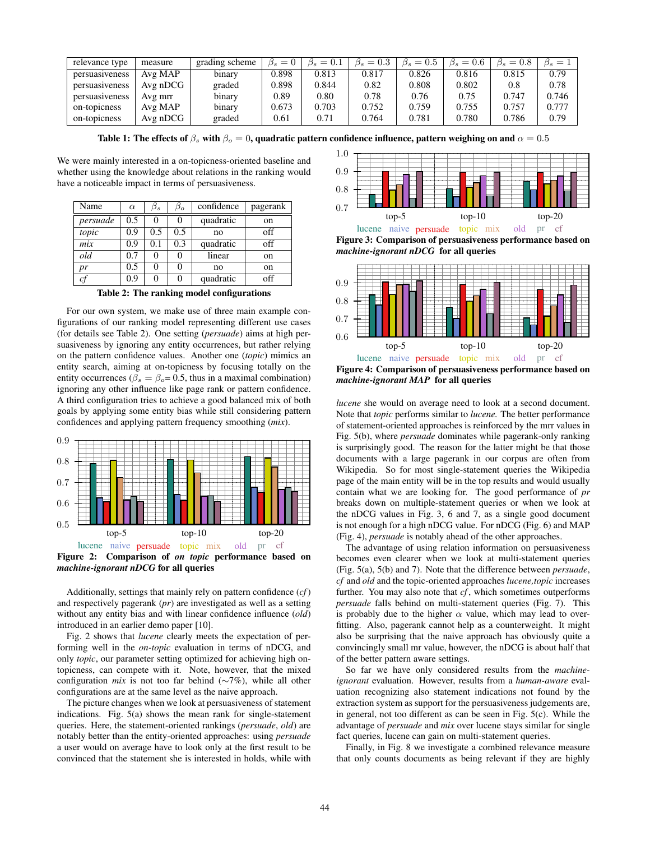| relevance type | measure  | grading scheme | $\beta_s=0$ | $\beta_s=0.1$ | $= 0.3$ | $= 0.5$ | $\beta_s=0.6$ | $= 0.8$ | $\rho_s = 1$ |
|----------------|----------|----------------|-------------|---------------|---------|---------|---------------|---------|--------------|
| persuasiveness | Avg MAP  | binary         | 0.898       | 0.813         | 0.817   | 0.826   | 0.816         | 0.815   | 0.79         |
| persuasiveness | Avg nDCG | graded         | 0.898       | 0.844         | 0.82    | 0.808   | 0.802         | 0.8     | 0.78         |
| persuasiveness | Avg mrr  | binary         | 0.89        | 0.80          | 0.78    | 0.76    | 0.75          | 0.747   | 0.746        |
| on-topicness   | Avg MAP  | binary         | 0.673       | 0.703         | 0.752   | 0.759   | 0.755         | 0.757   | 0.777        |
| on-topicness   | Avg nDCG | graded         | 0.61        | 0.71          | 0.764   | 0.781   | 0.780         | 0.786   | 0.79         |

Table 1: The effects of  $\beta_s$  with  $\beta_o = 0$ , quadratic pattern confidence influence, pattern weighing on and  $\alpha = 0.5$ 

We were mainly interested in a on-topicness-oriented baseline and whether using the knowledge about relations in the ranking would have a noticeable impact in terms of persuasiveness.

| Name     | $\alpha$ | $\beta_s$ | $\beta_o$ | confidence | pagerank |  |
|----------|----------|-----------|-----------|------------|----------|--|
| persuade | 0.5      |           |           | quadratic  | on       |  |
| topic    | 0.9      | 0.5       | 0.5       | no         | off      |  |
| mix      | 0.9      | 0.1       | 0.3       | quadratic  | off      |  |
| old      | 0.7      | 0         |           | linear     | on       |  |
| pr       | 0.5      | 0         | 0         | no         | on       |  |
|          | 0.9      |           | 0         | quadratic  | off      |  |

Table 2: The ranking model configurations

For our own system, we make use of three main example configurations of our ranking model representing different use cases (for details see Table 2). One setting (*persuade*) aims at high persuasiveness by ignoring any entity occurrences, but rather relying on the pattern confidence values. Another one (*topic*) mimics an entity search, aiming at on-topicness by focusing totally on the entity occurrences ( $\beta_s = \beta_o = 0.5$ , thus in a maximal combination) ignoring any other influence like page rank or pattern confidence. A third configuration tries to achieve a good balanced mix of both goals by applying some entity bias while still considering pattern confidences and applying pattern frequency smoothing (*mix*).



Additionally, settings that mainly rely on pattern confidence (*cf*)

and respectively pagerank (*pr*) are investigated as well as a setting without any entity bias and with linear confidence influence (*old*) introduced in an earlier demo paper [10]. Fig. 2 shows that *lucene* clearly meets the expectation of per-

forming well in the *on-topic* evaluation in terms of nDCG, and only *topic*, our parameter setting optimized for achieving high ontopicness, can compete with it. Note, however, that the mixed configuration *mix* is not too far behind (∼7%), while all other configurations are at the same level as the naive approach.

The picture changes when we look at persuasiveness of statement indications. Fig. 5(a) shows the mean rank for single-statement queries. Here, the statement-oriented rankings (*persuade*, *old*) are notably better than the entity-oriented approaches: using *persuade* a user would on average have to look only at the first result to be convinced that the statement she is interested in holds, while with



Figure 3: Comparison of persuasiveness performance based on *machine-ignorant nDCG* for all queries



Figure 4: Comparison of persuasiveness performance based on *machine-ignorant MAP* for all queries

*lucene* she would on average need to look at a second document. Note that *topic* performs similar to *lucene.* The better performance of statement-oriented approaches is reinforced by the mrr values in Fig. 5(b), where *persuade* dominates while pagerank-only ranking is surprisingly good. The reason for the latter might be that those documents with a large pagerank in our corpus are often from Wikipedia. So for most single-statement queries the Wikipedia page of the main entity will be in the top results and would usually contain what we are looking for. The good performance of *pr* breaks down on multiple-statement queries or when we look at the nDCG values in Fig. 3, 6 and 7, as a single good document is not enough for a high nDCG value. For nDCG (Fig. 6) and MAP (Fig. 4), *persuade* is notably ahead of the other approaches.

The advantage of using relation information on persuasiveness becomes even clearer when we look at multi-statement queries (Fig. 5(a), 5(b) and 7). Note that the difference between *persuade*, *cf* and *old* and the topic-oriented approaches *lucene,topic* increases further. You may also note that *cf*, which sometimes outperforms *persuade* falls behind on multi-statement queries (Fig. 7). This is probably due to the higher  $\alpha$  value, which may lead to overfitting. Also, pagerank cannot help as a counterweight. It might also be surprising that the naive approach has obviously quite a convincingly small mr value, however, the nDCG is about half that of the better pattern aware settings.

So far we have only considered results from the *machineignorant* evaluation. However, results from a *human-aware* evaluation recognizing also statement indications not found by the extraction system as support for the persuasiveness judgements are, in general, not too different as can be seen in Fig. 5(c). While the advantage of *persuade* and *mix* over lucene stays similar for single fact queries, lucene can gain on multi-statement queries.

Finally, in Fig. 8 we investigate a combined relevance measure that only counts documents as being relevant if they are highly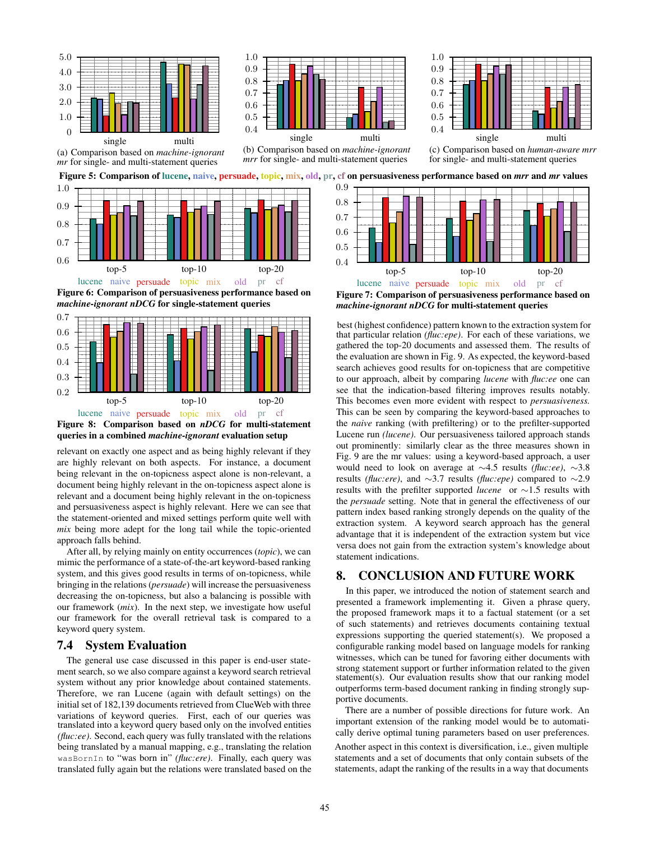



queries in a combined *machine-ignorant* evaluation setup

relevant on exactly one aspect and as being highly relevant if they are highly relevant on both aspects. For instance, a document being relevant in the on-topicness aspect alone is non-relevant, a document being highly relevant in the on-topicness aspect alone is relevant and a document being highly relevant in the on-topicness and persuasiveness aspect is highly relevant. Here we can see that the statement-oriented and mixed settings perform quite well with *mix* being more adept for the long tail while the topic-oriented approach falls behind.

After all, by relying mainly on entity occurrences (*topic*), we can mimic the performance of a state-of-the-art keyword-based ranking system, and this gives good results in terms of on-topicness, while bringing in the relations (*persuade*) will increase the persuasiveness decreasing the on-topicness, but also a balancing is possible with our framework (*mix*). In the next step, we investigate how useful our framework for the overall retrieval task is compared to a keyword query system.

## 7.4 System Evaluation

The general use case discussed in this paper is end-user statement search, so we also compare against a keyword search retrieval system without any prior knowledge about contained statements. Therefore, we ran Lucene (again with default settings) on the initial set of 182,139 documents retrieved from ClueWeb with three variations of keyword queries. First, each of our queries was translated into a keyword query based only on the involved entities *(fluc:ee)*. Second, each query was fully translated with the relations being translated by a manual mapping, e.g., translating the relation wasBornIn to "was born in" *(fluc:ere)*. Finally, each query was translated fully again but the relations were translated based on the

best (highest confidence) pattern known to the extraction system for that particular relation *(fluc:epe)*. For each of these variations, we gathered the top-20 documents and assessed them. The results of the evaluation are shown in Fig. 9. As expected, the keyword-based search achieves good results for on-topicness that are competitive to our approach, albeit by comparing *lucene* with *fluc:ee* one can see that the indication-based filtering improves results notably. This becomes even more evident with respect to *persuasiveness.* This can be seen by comparing the keyword-based approaches to the *naive* ranking (with prefiltering) or to the prefilter-supported Lucene run *(lucene)*. Our persuasiveness tailored approach stands out prominently: similarly clear as the three measures shown in Fig. 9 are the mr values: using a keyword-based approach, a user would need to look on average at ∼4.5 results *(fluc:ee)*, ∼3.8 results *(fluc:ere)*, and ∼3.7 results *(fluc:epe)* compared to ∼2.9 results with the prefilter supported *lucene* or ∼1.5 results with the *persuade* setting. Note that in general the effectiveness of our pattern index based ranking strongly depends on the quality of the extraction system. A keyword search approach has the general advantage that it is independent of the extraction system but vice versa does not gain from the extraction system's knowledge about statement indications.

# 8. CONCLUSION AND FUTURE WORK

In this paper, we introduced the notion of statement search and presented a framework implementing it. Given a phrase query, the proposed framework maps it to a factual statement (or a set of such statements) and retrieves documents containing textual expressions supporting the queried statement(s). We proposed a configurable ranking model based on language models for ranking witnesses, which can be tuned for favoring either documents with strong statement support or further information related to the given statement(s). Our evaluation results show that our ranking model outperforms term-based document ranking in finding strongly supportive documents.

There are a number of possible directions for future work. An important extension of the ranking model would be to automatically derive optimal tuning parameters based on user preferences. Another aspect in this context is diversification, i.e., given multiple statements and a set of documents that only contain subsets of the statements, adapt the ranking of the results in a way that documents